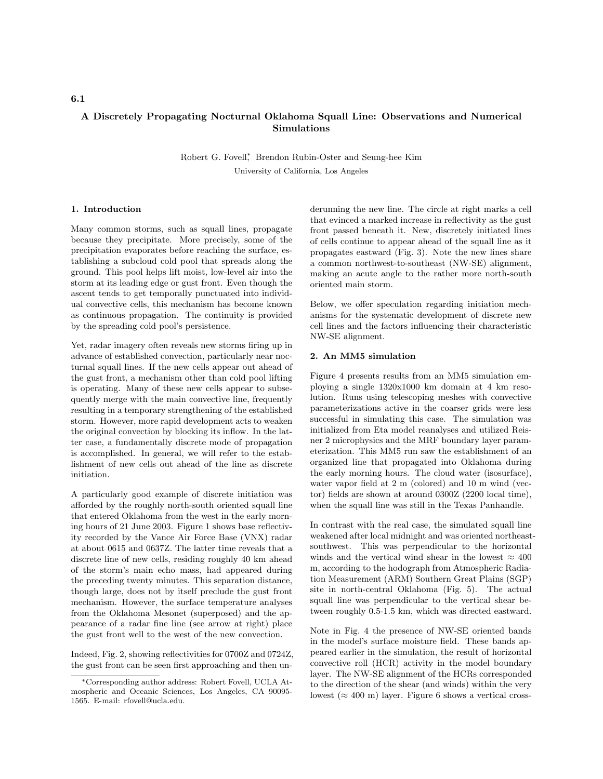## A Discretely Propagating Nocturnal Oklahoma Squall Line: Observations and Numerical Simulations

Robert G. Fovell<sup>\*</sup>, Brendon Rubin-Oster and Seung-hee Kim University of California, Los Angeles

#### 1. Introduction

Many common storms, such as squall lines, propagate because they precipitate. More precisely, some of the precipitation evaporates before reaching the surface, establishing a subcloud cold pool that spreads along the ground. This pool helps lift moist, low-level air into the storm at its leading edge or gust front. Even though the ascent tends to get temporally punctuated into individual convective cells, this mechanism has become known as continuous propagation. The continuity is provided by the spreading cold pool's persistence.

Yet, radar imagery often reveals new storms firing up in advance of established convection, particularly near nocturnal squall lines. If the new cells appear out ahead of the gust front, a mechanism other than cold pool lifting is operating. Many of these new cells appear to subsequently merge with the main convective line, frequently resulting in a temporary strengthening of the established storm. However, more rapid development acts to weaken the original convection by blocking its inflow. In the latter case, a fundamentally discrete mode of propagation is accomplished. In general, we will refer to the establishment of new cells out ahead of the line as discrete initiation.

A particularly good example of discrete initiation was afforded by the roughly north-south oriented squall line that entered Oklahoma from the west in the early morning hours of 21 June 2003. Figure 1 shows base reflectivity recorded by the Vance Air Force Base (VNX) radar at about 0615 and 0637Z. The latter time reveals that a discrete line of new cells, residing roughly 40 km ahead of the storm's main echo mass, had appeared during the preceding twenty minutes. This separation distance, though large, does not by itself preclude the gust front mechanism. However, the surface temperature analyses from the Oklahoma Mesonet (superposed) and the appearance of a radar fine line (see arrow at right) place the gust front well to the west of the new convection.

Indeed, Fig. 2, showing reflectivities for 0700Z and 0724Z, the gust front can be seen first approaching and then underunning the new line. The circle at right marks a cell that evinced a marked increase in reflectivity as the gust front passed beneath it. New, discretely initiated lines of cells continue to appear ahead of the squall line as it propagates eastward (Fig. 3). Note the new lines share a common northwest-to-southeast (NW-SE) alignment, making an acute angle to the rather more north-south oriented main storm.

Below, we offer speculation regarding initiation mechanisms for the systematic development of discrete new cell lines and the factors influencing their characteristic NW-SE alignment.

### 2. An MM5 simulation

Figure 4 presents results from an MM5 simulation employing a single 1320x1000 km domain at 4 km resolution. Runs using telescoping meshes with convective parameterizations active in the coarser grids were less successful in simulating this case. The simulation was initialized from Eta model reanalyses and utilized Reisner 2 microphysics and the MRF boundary layer parameterization. This MM5 run saw the establishment of an organized line that propagated into Oklahoma during the early morning hours. The cloud water (isosurface), water vapor field at 2 m (colored) and 10 m wind (vector) fields are shown at around 0300Z (2200 local time), when the squall line was still in the Texas Panhandle.

In contrast with the real case, the simulated squall line weakened after local midnight and was oriented northeastsouthwest. This was perpendicular to the horizontal winds and the vertical wind shear in the lowest  $\approx 400$ m, according to the hodograph from Atmospheric Radiation Measurement (ARM) Southern Great Plains (SGP) site in north-central Oklahoma (Fig. 5). The actual squall line was perpendicular to the vertical shear between roughly 0.5-1.5 km, which was directed eastward.

Note in Fig. 4 the presence of NW-SE oriented bands in the model's surface moisture field. These bands appeared earlier in the simulation, the result of horizontal convective roll (HCR) activity in the model boundary layer. The NW-SE alignment of the HCRs corresponded to the direction of the shear (and winds) within the very lowest ( $\approx 400$  m) layer. Figure 6 shows a vertical cross-

#### 6.1

<sup>∗</sup>Corresponding author address: Robert Fovell, UCLA Atmospheric and Oceanic Sciences, Los Angeles, CA 90095- 1565. E-mail: rfovell@ucla.edu.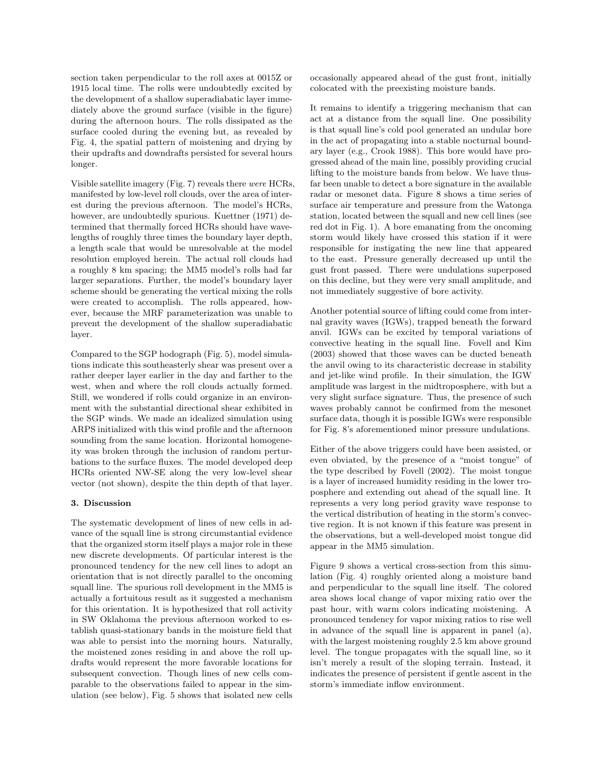section taken perpendicular to the roll axes at 0015Z or 1915 local time. The rolls were undoubtedly excited by the development of a shallow superadiabatic layer immediately above the ground surface (visible in the figure) during the afternoon hours. The rolls dissipated as the surface cooled during the evening but, as revealed by Fig. 4, the spatial pattern of moistening and drying by their updrafts and downdrafts persisted for several hours longer.

Visible satellite imagery (Fig. 7) reveals there were HCRs, manifested by low-level roll clouds, over the area of interest during the previous afternoon. The model's HCRs, however, are undoubtedly spurious. Kuettner (1971) determined that thermally forced HCRs should have wavelengths of roughly three times the boundary layer depth, a length scale that would be unresolvable at the model resolution employed herein. The actual roll clouds had a roughly 8 km spacing; the MM5 model's rolls had far larger separations. Further, the model's boundary layer scheme should be generating the vertical mixing the rolls were created to accomplish. The rolls appeared, however, because the MRF parameterization was unable to prevent the development of the shallow superadiabatic layer.

Compared to the SGP hodograph (Fig. 5), model simulations indicate this southeasterly shear was present over a rather deeper layer earlier in the day and farther to the west, when and where the roll clouds actually formed. Still, we wondered if rolls could organize in an environment with the substantial directional shear exhibited in the SGP winds. We made an idealized simulation using ARPS initialized with this wind profile and the afternoon sounding from the same location. Horizontal homogeneity was broken through the inclusion of random perturbations to the surface fluxes. The model developed deep HCRs oriented NW-SE along the very low-level shear vector (not shown), despite the thin depth of that layer.

#### 3. Discussion

The systematic development of lines of new cells in advance of the squall line is strong circumstantial evidence that the organized storm itself plays a major role in these new discrete developments. Of particular interest is the pronounced tendency for the new cell lines to adopt an orientation that is not directly parallel to the oncoming squall line. The spurious roll development in the MM5 is actually a fortuitous result as it suggested a mechanism for this orientation. It is hypothesized that roll activity in SW Oklahoma the previous afternoon worked to establish quasi-stationary bands in the moisture field that was able to persist into the morning hours. Naturally, the moistened zones residing in and above the roll updrafts would represent the more favorable locations for subsequent convection. Though lines of new cells comparable to the observations failed to appear in the simulation (see below), Fig. 5 shows that isolated new cells occasionally appeared ahead of the gust front, initially colocated with the preexisting moisture bands.

It remains to identify a triggering mechanism that can act at a distance from the squall line. One possibility is that squall line's cold pool generated an undular bore in the act of propagating into a stable nocturnal boundary layer (e.g., Crook 1988). This bore would have progressed ahead of the main line, possibly providing crucial lifting to the moisture bands from below. We have thusfar been unable to detect a bore signature in the available radar or mesonet data. Figure 8 shows a time series of surface air temperature and pressure from the Watonga station, located between the squall and new cell lines (see red dot in Fig. 1). A bore emanating from the oncoming storm would likely have crossed this station if it were responsible for instigating the new line that appeared to the east. Pressure generally decreased up until the gust front passed. There were undulations superposed on this decline, but they were very small amplitude, and not immediately suggestive of bore activity.

Another potential source of lifting could come from internal gravity waves (IGWs), trapped beneath the forward anvil. IGWs can be excited by temporal variations of convective heating in the squall line. Fovell and Kim (2003) showed that those waves can be ducted beneath the anvil owing to its characteristic decrease in stability and jet-like wind profile. In their simulation, the IGW amplitude was largest in the midtroposphere, with but a very slight surface signature. Thus, the presence of such waves probably cannot be confirmed from the mesonet surface data, though it is possible IGWs were responsible for Fig. 8's aforementioned minor pressure undulations.

Either of the above triggers could have been assisted, or even obviated, by the presence of a "moist tongue" of the type described by Fovell (2002). The moist tongue is a layer of increased humidity residing in the lower troposphere and extending out ahead of the squall line. It represents a very long period gravity wave response to the vertical distribution of heating in the storm's convective region. It is not known if this feature was present in the observations, but a well-developed moist tongue did appear in the MM5 simulation.

Figure 9 shows a vertical cross-section from this simulation (Fig. 4) roughly oriented along a moisture band and perpendicular to the squall line itself. The colored area shows local change of vapor mixing ratio over the past hour, with warm colors indicating moistening. A pronounced tendency for vapor mixing ratios to rise well in advance of the squall line is apparent in panel (a), with the largest moistening roughly 2.5 km above ground level. The tongue propagates with the squall line, so it isn't merely a result of the sloping terrain. Instead, it indicates the presence of persistent if gentle ascent in the storm's immediate inflow environment.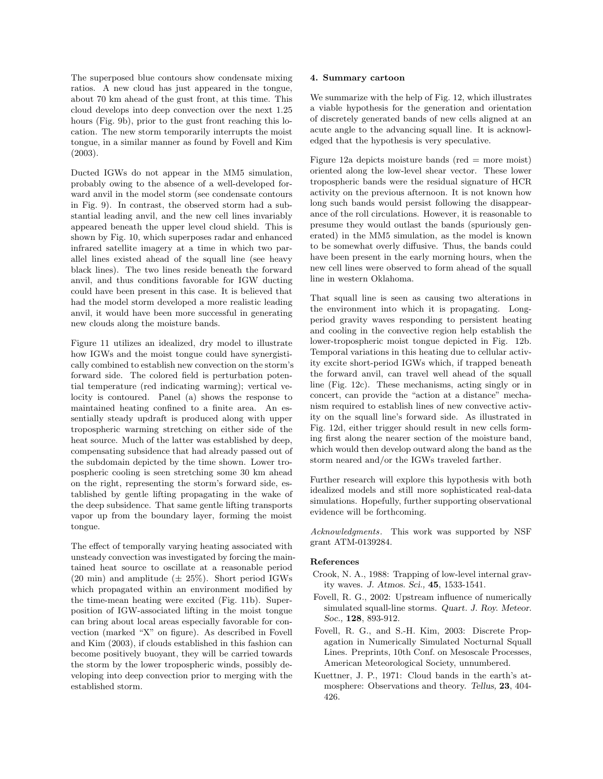The superposed blue contours show condensate mixing ratios. A new cloud has just appeared in the tongue, about 70 km ahead of the gust front, at this time. This cloud develops into deep convection over the next 1.25 hours (Fig. 9b), prior to the gust front reaching this location. The new storm temporarily interrupts the moist tongue, in a similar manner as found by Fovell and Kim (2003).

Ducted IGWs do not appear in the MM5 simulation, probably owing to the absence of a well-developed forward anvil in the model storm (see condensate contours in Fig. 9). In contrast, the observed storm had a substantial leading anvil, and the new cell lines invariably appeared beneath the upper level cloud shield. This is shown by Fig. 10, which superposes radar and enhanced infrared satellite imagery at a time in which two parallel lines existed ahead of the squall line (see heavy black lines). The two lines reside beneath the forward anvil, and thus conditions favorable for IGW ducting could have been present in this case. It is believed that had the model storm developed a more realistic leading anvil, it would have been more successful in generating new clouds along the moisture bands.

Figure 11 utilizes an idealized, dry model to illustrate how IGWs and the moist tongue could have synergistically combined to establish new convection on the storm's forward side. The colored field is perturbation potential temperature (red indicating warming); vertical velocity is contoured. Panel (a) shows the response to maintained heating confined to a finite area. An essentially steady updraft is produced along with upper tropospheric warming stretching on either side of the heat source. Much of the latter was established by deep, compensating subsidence that had already passed out of the subdomain depicted by the time shown. Lower tropospheric cooling is seen stretching some 30 km ahead on the right, representing the storm's forward side, established by gentle lifting propagating in the wake of the deep subsidence. That same gentle lifting transports vapor up from the boundary layer, forming the moist tongue.

The effect of temporally varying heating associated with unsteady convection was investigated by forcing the maintained heat source to oscillate at a reasonable period (20 min) and amplitude  $(\pm 25\%)$ . Short period IGWs which propagated within an environment modified by the time-mean heating were excited (Fig. 11b). Superposition of IGW-associated lifting in the moist tongue can bring about local areas especially favorable for convection (marked "X" on figure). As described in Fovell and Kim (2003), if clouds established in this fashion can become positively buoyant, they will be carried towards the storm by the lower tropospheric winds, possibly developing into deep convection prior to merging with the established storm.

#### 4. Summary cartoon

We summarize with the help of Fig. 12, which illustrates a viable hypothesis for the generation and orientation of discretely generated bands of new cells aligned at an acute angle to the advancing squall line. It is acknowledged that the hypothesis is very speculative.

Figure 12a depicts moisture bands (red  $=$  more moist) oriented along the low-level shear vector. These lower tropospheric bands were the residual signature of HCR activity on the previous afternoon. It is not known how long such bands would persist following the disappearance of the roll circulations. However, it is reasonable to presume they would outlast the bands (spuriously generated) in the MM5 simulation, as the model is known to be somewhat overly diffusive. Thus, the bands could have been present in the early morning hours, when the new cell lines were observed to form ahead of the squall line in western Oklahoma.

That squall line is seen as causing two alterations in the environment into which it is propagating. Longperiod gravity waves responding to persistent heating and cooling in the convective region help establish the lower-tropospheric moist tongue depicted in Fig. 12b. Temporal variations in this heating due to cellular activity excite short-period IGWs which, if trapped beneath the forward anvil, can travel well ahead of the squall line (Fig. 12c). These mechanisms, acting singly or in concert, can provide the "action at a distance" mechanism required to establish lines of new convective activity on the squall line's forward side. As illustrated in Fig. 12d, either trigger should result in new cells forming first along the nearer section of the moisture band, which would then develop outward along the band as the storm neared and/or the IGWs traveled farther.

Further research will explore this hypothesis with both idealized models and still more sophisticated real-data simulations. Hopefully, further supporting observational evidence will be forthcoming.

Acknowledgments. This work was supported by NSF grant ATM-0139284.

#### References

- Crook, N. A., 1988: Trapping of low-level internal gravity waves. J. Atmos. Sci., 45, 1533-1541.
- Fovell, R. G., 2002: Upstream influence of numerically simulated squall-line storms. Quart. J. Roy. Meteor. Soc., 128, 893-912.
- Fovell, R. G., and S.-H. Kim, 2003: Discrete Propagation in Numerically Simulated Nocturnal Squall Lines. Preprints, 10th Conf. on Mesoscale Processes, American Meteorological Society, unnumbered.
- Kuettner, J. P., 1971: Cloud bands in the earth's atmosphere: Observations and theory. Tellus, 23, 404- 426.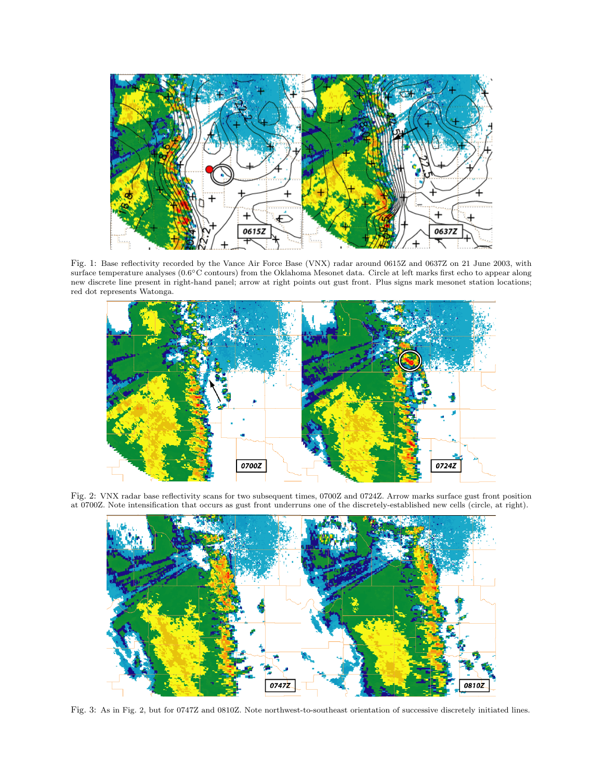

Fig. 1: Base reflectivity recorded by the Vance Air Force Base (VNX) radar around 0615Z and 0637Z on 21 June 2003, with surface temperature analyses (0.6°C contours) from the Oklahoma Mesonet data. Circle at left marks first echo to appear along new discrete line present in right-hand panel; arrow at right points out gust front. Plus signs mark mesonet station locations; red dot represents Watonga.



Fig. 2: VNX radar base reflectivity scans for two subsequent times, 0700Z and 0724Z. Arrow marks surface gust front position at 0700Z. Note intensification that occurs as gust front underruns one of the discretely-established new cells (circle, at right).



Fig. 3: As in Fig. 2, but for 0747Z and 0810Z. Note northwest-to-southeast orientation of successive discretely initiated lines.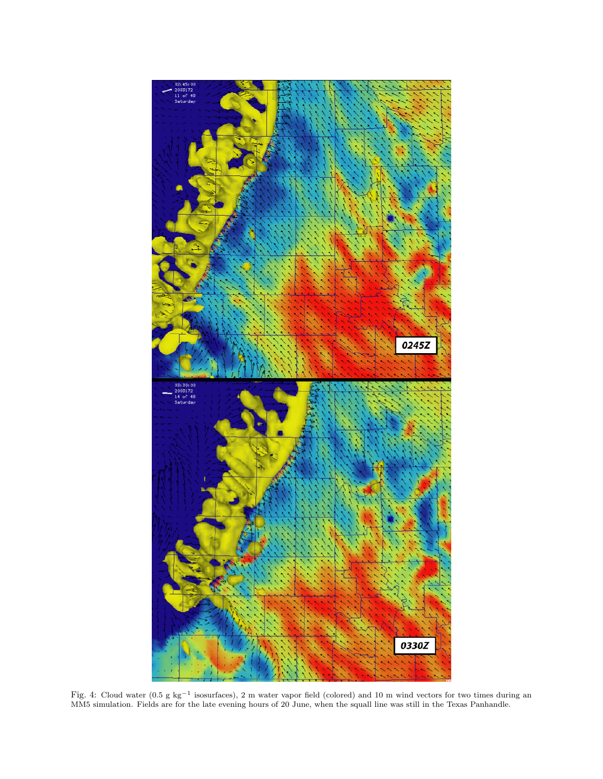

Fig. 4: Cloud water (0.5 g kg<sup>-1</sup> isosurfaces), 2 m water vapor field (colored) and 10 m wind vectors for two times during an MM5 simulation. Fields are for the late evening hours of 20 June, when the squall line was still in the Texas Panhandle.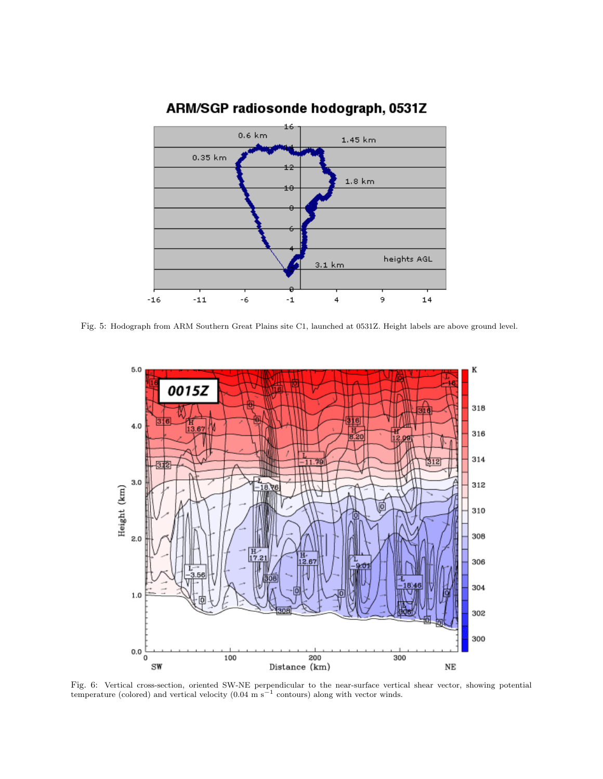

# ARM/SGP radiosonde hodograph, 0531Z

Fig. 5: Hodograph from ARM Southern Great Plains site C1, launched at 0531Z. Height labels are above ground level.



Fig. 6: Vertical cross-section, oriented SW-NE perpendicular to the near-surface vertical shear vector, showing potential temperature (colored) and vertical velocity  $(0.04 \text{ m s}^{-1}$  contours) along with vector winds.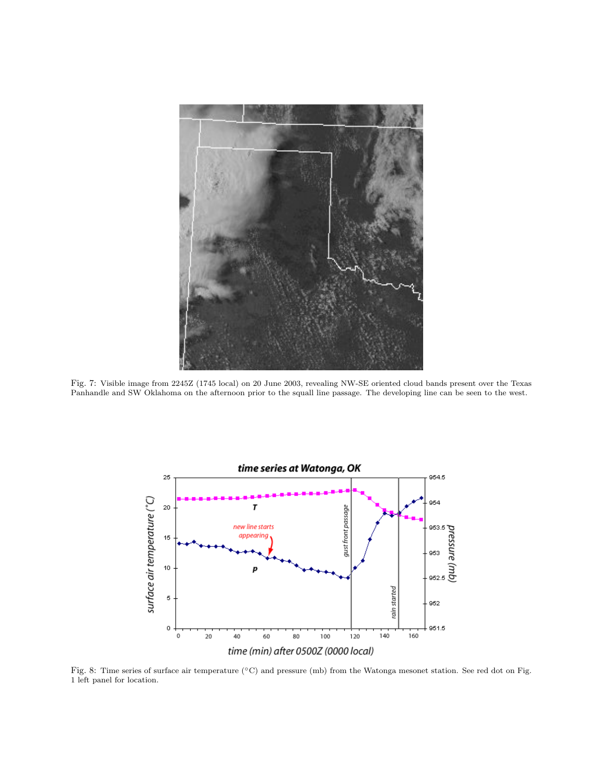

Fig. 7: Visible image from 2245Z (1745 local) on 20 June 2003, revealing NW-SE oriented cloud bands present over the Texas Panhandle and SW Oklahoma on the afternoon prior to the squall line passage. The developing line can be seen to the west.



Fig. 8: Time series of surface air temperature (°C) and pressure (mb) from the Watonga mesonet station. See red dot on Fig. 1 left panel for location.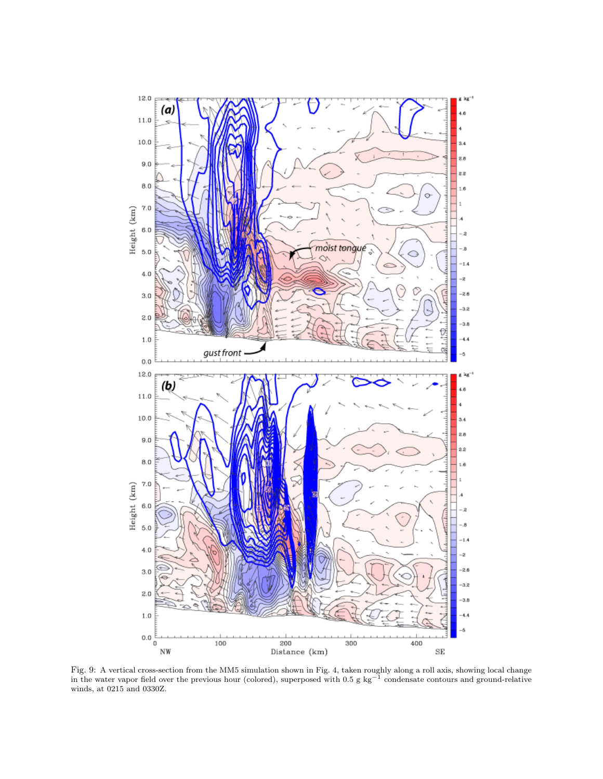

Fig. 9: A vertical cross-section from the MM5 simulation shown in Fig. 4, taken roughly along a roll axis, showing local change in the water vapor field over the previous hour (colored), superposed with  $0.5$  g kg<sup>-1</sup> condensate contours and ground-relative winds, at 0215 and 0330Z.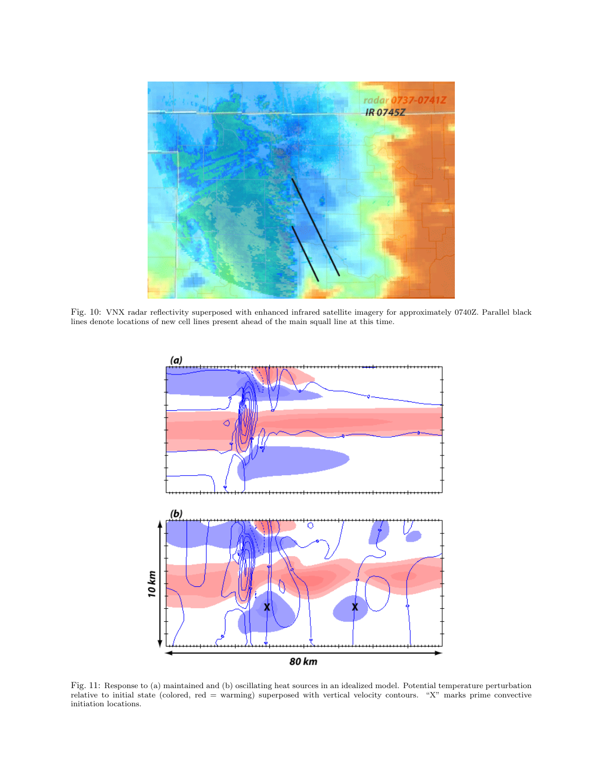

Fig. 10: VNX radar reflectivity superposed with enhanced infrared satellite imagery for approximately 0740Z. Parallel black lines denote locations of new cell lines present ahead of the main squall line at this time.



Fig. 11: Response to (a) maintained and (b) oscillating heat sources in an idealized model. Potential temperature perturbation relative to initial state (colored, red = warming) superposed with vertical velocity contours. "X" marks prime convective initiation locations.